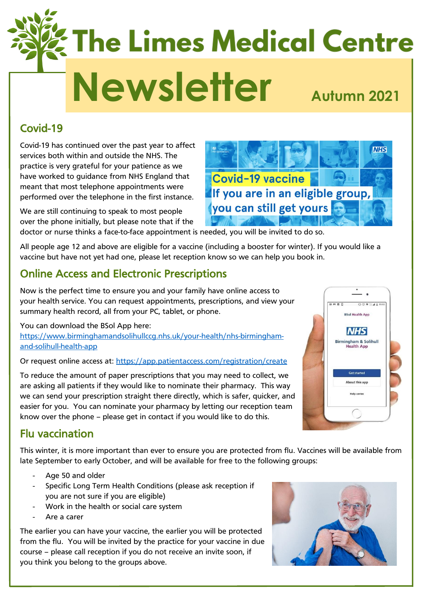# **The Limes Medical Centre Newsletter Autumn 2021**

## Covid-19

Covid-19 has continued over the past year to affect services both within and outside the NHS. The practice is very grateful for your patience as we have worked to guidance from NHS England that meant that most telephone appointments were performed over the telephone in the first instance.

We are still continuing to speak to most people over the phone initially, but please note that if the

doctor or nurse thinks a face-to-face appointment is needed, you will be invited to do so.

All people age 12 and above are eligible for a vaccine (including a booster for winter). If you would like a vaccine but have not yet had one, please let reception know so we can help you book in.

## Online Access and Electronic Prescriptions

Now is the perfect time to ensure you and your family have online access to your health service. You can request appointments, prescriptions, and view your summary health record, all from your PC, tablet, or phone.

You can download the BSol App here: [https://www.birminghamandsolihullccg.nhs.uk/your-health/nhs-birmingham](https://www.birminghamandsolihullccg.nhs.uk/your-health/nhs-birmingham-and-solihull-health-app)[and-solihull-health-app](https://www.birminghamandsolihullccg.nhs.uk/your-health/nhs-birmingham-and-solihull-health-app)

Or request online access at:<https://app.patientaccess.com/registration/create>

To reduce the amount of paper prescriptions that you may need to collect, we are asking all patients if they would like to nominate their pharmacy. This way we can send your prescription straight there directly, which is safer, quicker, and easier for you. You can nominate your pharmacy by letting our reception team know over the phone – please get in contact if you would like to do this.

## Flu vaccination

This winter, it is more important than ever to ensure you are protected from flu. Vaccines will be available from late September to early October, and will be available for free to the following groups:

- Age 50 and older
- Specific Long Term Health Conditions (please ask reception if you are not sure if you are eligible)
- Work in the health or social care system
- Are a carer

The earlier you can have your vaccine, the earlier you will be protected from the flu. You will be invited by the practice for your vaccine in due course – please call reception if you do not receive an invite soon, if you think you belong to the groups above.